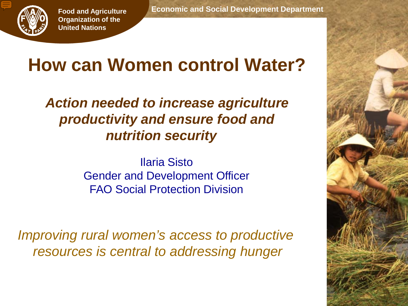

# **How can Women control Water?**

*Action needed to increase agriculture productivity and ensure food and nutrition security*

> Ilaria Sisto Gender and Development Officer FAO Social Protection Division

*Improving rural women's access to productive resources is central to addressing hunger*

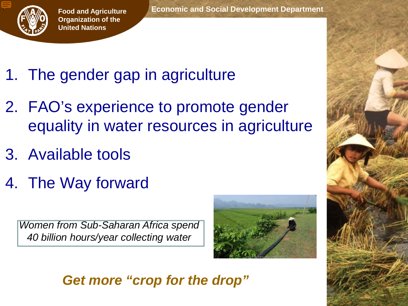

# 1. The gender gap in agriculture

- 2. FAO's experience to promote gender equality in water resources in agriculture
- 3. Available tools
- 4. The Way forward

*Women from Sub-Saharan Africa spend 40 billion hours/year collecting water*



#### *Get more "crop for the drop"*

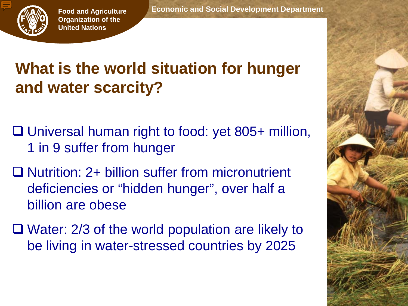

## **What is the world situation for hunger and water scarcity?**

- □ Universal human right to food: yet 805+ million, 1 in 9 suffer from hunger
- **□ Nutrition: 2+ billion suffer from micronutrient** deficiencies or "hidden hunger", over half a billion are obese
- Water: 2/3 of the world population are likely to be living in water-stressed countries by 2025

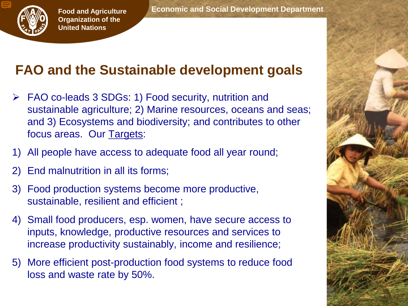

#### **FAO and the Sustainable development goals**

- FAO co-leads 3 SDGs: 1) Food security, nutrition and sustainable agriculture; 2) Marine resources, oceans and seas; and 3) Ecosystems and biodiversity; and contributes to other focus areas. Our Targets:
- 1) All people have access to adequate food all year round;
- 2) End malnutrition in all its forms;
- 3) Food production systems become more productive, sustainable, resilient and efficient ;
- 4) Small food producers, esp. women, have secure access to inputs, knowledge, productive resources and services to increase productivity sustainably, income and resilience;
- 5) More efficient post-production food systems to reduce food loss and waste rate by 50%.

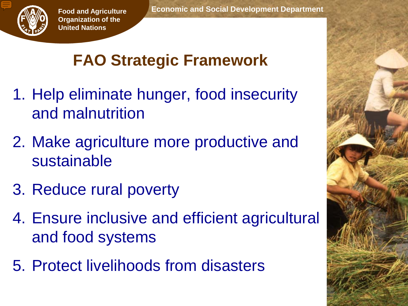

# **FAO Strategic Framework**

- 1. Help eliminate hunger, food insecurity and malnutrition
- 2. Make agriculture more productive and sustainable
- 3. Reduce rural poverty
- 4. Ensure inclusive and efficient agricultural and food systems
- 5. Protect livelihoods from disasters

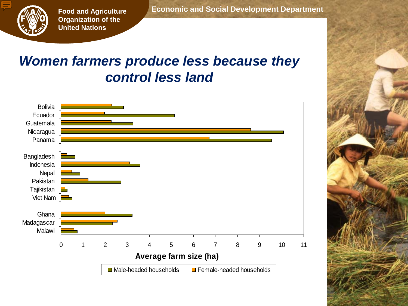

#### *Women farmers produce less because they control less land*

 **Economic and Social Development Department**

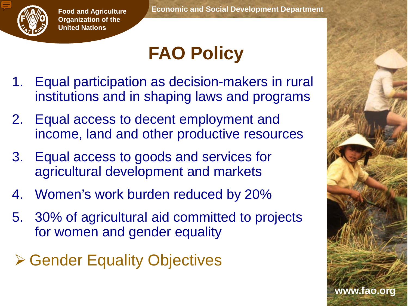

# **FAO Policy**

- 1. Equal participation as decision-makers in rural institutions and in shaping laws and programs
- 2. Equal access to decent employment and income, land and other productive resources
- 3. Equal access to goods and services for agricultural development and markets
- 4. Women's work burden reduced by 20%
- 5. 30% of agricultural aid committed to projects for women and gender equality
- **≻ Gender Equality Objectives**

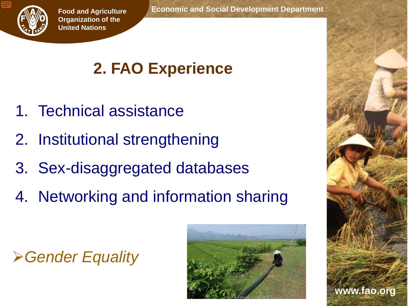

## **2. FAO Experience**

- 1. Technical assistance
- 2. Institutional strengthening
- 3. Sex-disaggregated databases
- 4. Networking and information sharing





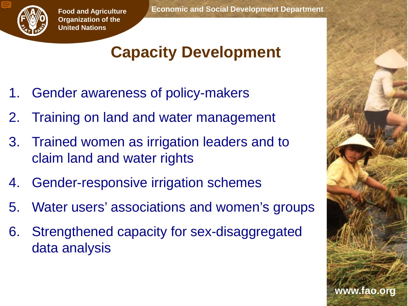

### **Capacity Development**

- 1. Gender awareness of policy-makers
- 2. Training on land and water management
- 3. Trained women as irrigation leaders and to claim land and water rights
- 4. Gender-responsive irrigation schemes
- 5. Water users' associations and women's groups
- 6. Strengthened capacity for sex-disaggregated data analysis

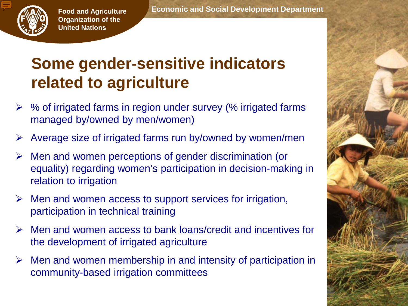

### **Some gender-sensitive indicators related to agriculture**

- % of irrigated farms in region under survey (% irrigated farms managed by/owned by men/women)
- Average size of irrigated farms run by/owned by women/men
- $\triangleright$  Men and women perceptions of gender discrimination (or equality) regarding women's participation in decision-making in relation to irrigation
- $\triangleright$  Men and women access to support services for irrigation, participation in technical training
- $\triangleright$  Men and women access to bank loans/credit and incentives for the development of irrigated agriculture
- $\triangleright$  Men and women membership in and intensity of participation in community-based irrigation committees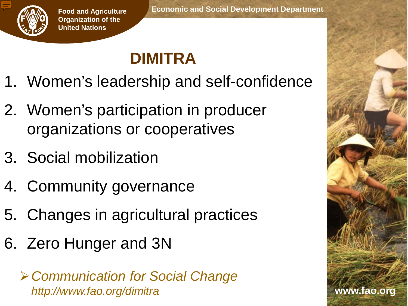

# **DIMITRA**

- 1. Women's leadership and self-confidence
- 2. Women's participation in producer organizations or cooperatives
- 3. Social mobilization
- 4. Community governance
- 5. Changes in agricultural practices
- 6. Zero Hunger and 3N

*Communication for Social Change http://www.fao.org/dimitra*

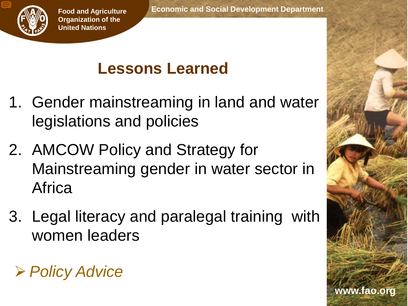

**www.fao.org**

#### **Lessons Learned**

- 1. Gender mainstreaming in land and water legislations and policies
- 2. AMCOW Policy and Strategy for Mainstreaming gender in water sector in **Africa**
- 3. Legal literacy and paralegal training with women leaders

*Policy Advice*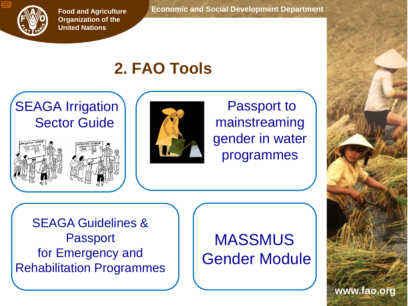

 **Economic and Social Development Department**

#### **2. FAO Tools**

#### **SEAGA Irrigation** Sector Guide





Passport to mainstreaming gender in water programmes

SEAGA Guidelines & Passport for Emergency and Rehabilitation Programmes

#### **MASSMUS** Gender Module

**www.fao.org**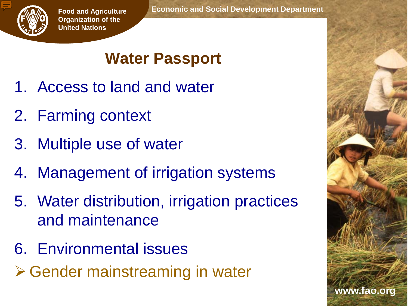

## **Water Passport**

- 1. Access to land and water
- 2. Farming context
- 3. Multiple use of water
- 4. Management of irrigation systems
- 5. Water distribution, irrigation practices and maintenance
- 6. Environmental issues
- **≻ Gender mainstreaming in water**

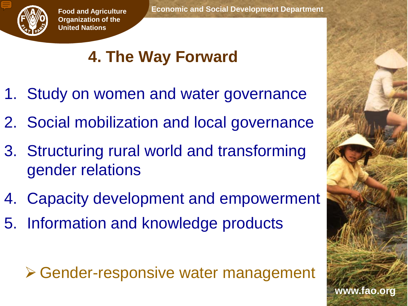

# **4. The Way Forward**

- 1. Study on women and water governance
- 2. Social mobilization and local governance
- 3. Structuring rural world and transforming gender relations
- 4. Capacity development and empowerment
- 5. Information and knowledge products

**≻ Gender-responsive water management**